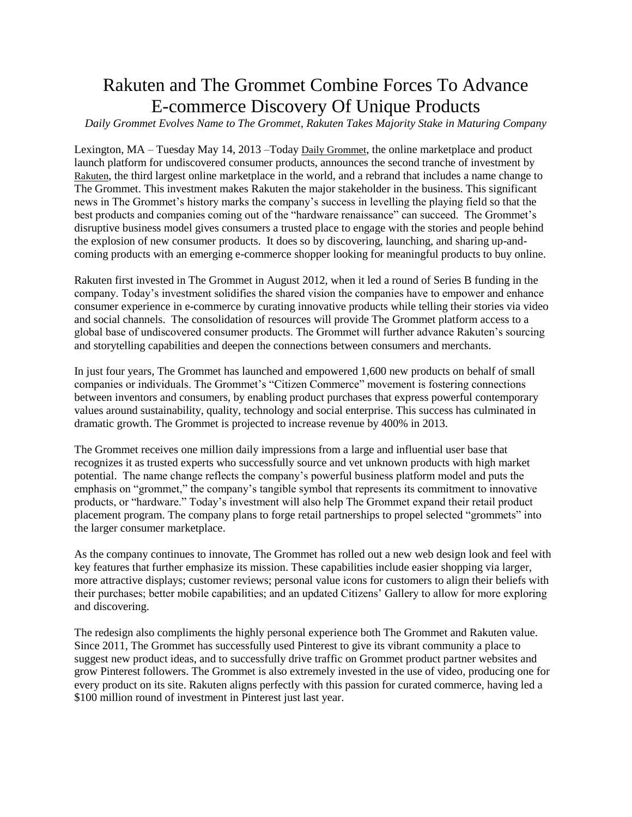## Rakuten and The Grommet Combine Forces To Advance E-commerce Discovery Of Unique Products

*Daily Grommet Evolves Name to The Grommet, Rakuten Takes Majority Stake in Maturing Company*

Lexington, MA – Tuesday May 14, 2013 –Today [Daily Grommet](http://www.thegrommet.com/), the online marketplace and product launch platform for undiscovered consumer products, announces the second tranche of investment by [Rakuten](http://global.rakuten.com/en/), the third largest online marketplace in the world, and a rebrand that includes a name change to The Grommet. This investment makes Rakuten the major stakeholder in the business. This significant news in The Grommet's history marks the company's success in levelling the playing field so that the best products and companies coming out of the "hardware renaissance" can succeed. The Grommet's disruptive business model gives consumers a trusted place to engage with the stories and people behind the explosion of new consumer products. It does so by discovering, launching, and sharing up-andcoming products with an emerging e-commerce shopper looking for meaningful products to buy online.

Rakuten first invested in The Grommet in August 2012, when it led a round of Series B funding in the company. Today's investment solidifies the shared vision the companies have to empower and enhance consumer experience in e-commerce by curating innovative products while telling their stories via video and social channels. The consolidation of resources will provide The Grommet platform access to a global base of undiscovered consumer products. The Grommet will further advance Rakuten's sourcing and storytelling capabilities and deepen the connections between consumers and merchants.

In just four years, The Grommet has launched and empowered 1,600 new products on behalf of small companies or individuals. The Grommet's "Citizen Commerce" movement is fostering connections between inventors and consumers, by enabling product purchases that express powerful contemporary values around sustainability, quality, technology and social enterprise. This success has culminated in dramatic growth. The Grommet is projected to increase revenue by 400% in 2013.

The Grommet receives one million daily impressions from a large and influential user base that recognizes it as trusted experts who successfully source and vet unknown products with high market potential. The name change reflects the company's powerful business platform model and puts the emphasis on "grommet," the company's tangible symbol that represents its commitment to innovative products, or "hardware." Today's investment will also help The Grommet expand their retail product placement program. The company plans to forge retail partnerships to propel selected "grommets" into the larger consumer marketplace.

As the company continues to innovate, The Grommet has rolled out a new web design look and feel with key features that further emphasize its mission. These capabilities include easier shopping via larger, more attractive displays; customer reviews; personal value icons for customers to align their beliefs with their purchases; better mobile capabilities; and an updated Citizens' Gallery to allow for more exploring and discovering.

The redesign also compliments the highly personal experience both The Grommet and Rakuten value. Since 2011, The Grommet has successfully used Pinterest to give its vibrant community a place to suggest new product ideas, and to successfully drive traffic on Grommet product partner websites and grow Pinterest followers. The Grommet is also extremely invested in the use of video, producing one for every product on its site. Rakuten aligns perfectly with this passion for curated commerce, having led a \$100 million round of investment in Pinterest just last year.